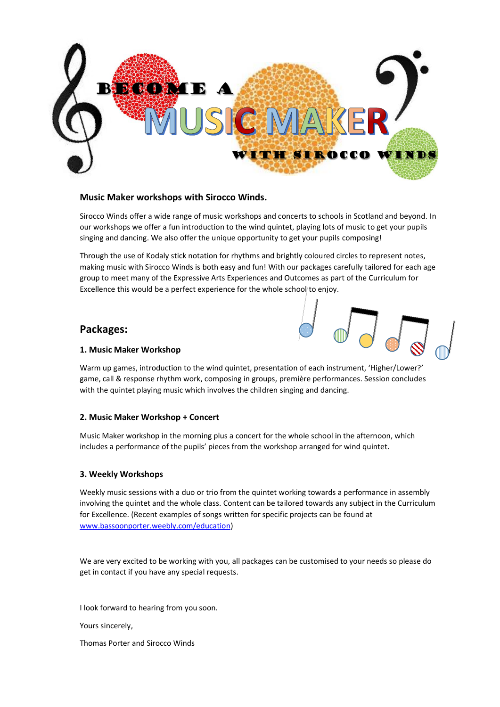

### **Music Maker workshops with Sirocco Winds.**

Sirocco Winds offer a wide range of music workshops and concerts to schools in Scotland and beyond. In our workshops we offer a fun introduction to the wind quintet, playing lots of music to get your pupils singing and dancing. We also offer the unique opportunity to get your pupils composing!

Through the use of Kodaly stick notation for rhythms and brightly coloured circles to represent notes, making music with Sirocco Winds is both easy and fun! With our packages carefully tailored for each age group to meet many of the Expressive Arts Experiences and Outcomes as part of the Curriculum for Excellence this would be a perfect experience for the whole school to enjoy.

# **Packages:**



#### **1. Music Maker Workshop**

Warm up games, introduction to the wind quintet, presentation of each instrument, 'Higher/Lower?' game, call & response rhythm work, composing in groups, première performances. Session concludes with the quintet playing music which involves the children singing and dancing.

### **2. Music Maker Workshop + Concert**

Music Maker workshop in the morning plus a concert for the whole school in the afternoon, which includes a performance of the pupils' pieces from the workshop arranged for wind quintet.

### **3. Weekly Workshops**

Weekly music sessions with a duo or trio from the quintet working towards a performance in assembly involving the quintet and the whole class. Content can be tailored towards any subject in the Curriculum for Excellence. (Recent examples of songs written for specific projects can be found at [www.bassoonporter.weebly.com/education\)](http://www.bassoonporter.weebly.com/education)

We are very excited to be working with you, all packages can be customised to your needs so please do get in contact if you have any special requests.

I look forward to hearing from you soon.

Yours sincerely,

Thomas Porter and Sirocco Winds